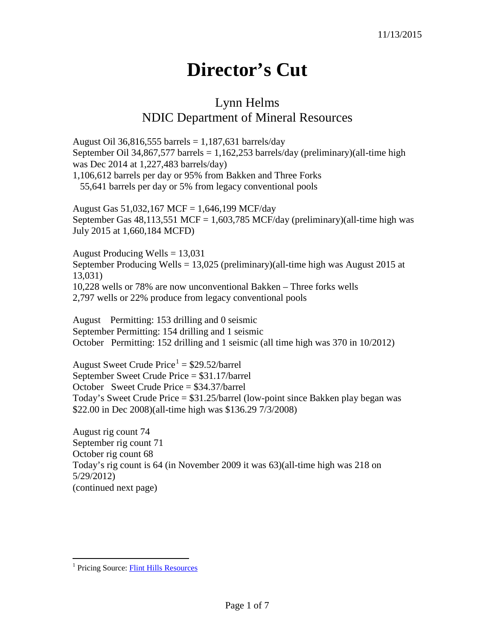## **Director's Cut**

## Lynn Helms NDIC Department of Mineral Resources

August Oil 36,816,555 barrels =  $1,187,631$  barrels/day September Oil 34,867,577 barrels =  $1,162,253$  barrels/day (preliminary)(all-time high was Dec 2014 at 1,227,483 barrels/day) 1,106,612 barrels per day or 95% from Bakken and Three Forks 55,641 barrels per day or 5% from legacy conventional pools

August Gas 51,032,167 MCF = 1,646,199 MCF/day September Gas  $48,113,551$  MCF = 1,603,785 MCF/day (preliminary)(all-time high was July 2015 at 1,660,184 MCFD)

August Producing Wells  $= 13,031$ September Producing Wells = 13,025 (preliminary)(all-time high was August 2015 at 13,031) 10,228 wells or 78% are now unconventional Bakken – Three forks wells 2,797 wells or 22% produce from legacy conventional pools

August Permitting: 153 drilling and 0 seismic September Permitting: 154 drilling and 1 seismic October Permitting: 152 drilling and 1 seismic (all time high was 370 in 10/2012)

August Sweet Crude  $Price<sup>1</sup> = $29.52/barrel$  $Price<sup>1</sup> = $29.52/barrel$  $Price<sup>1</sup> = $29.52/barrel$ September Sweet Crude Price = \$31.17/barrel October Sweet Crude Price = \$34.37/barrel Today's Sweet Crude Price = \$31.25/barrel (low-point since Bakken play began was \$22.00 in Dec 2008)(all-time high was \$136.29 7/3/2008)

August rig count 74 September rig count 71 October rig count 68 Today's rig count is 64 (in November 2009 it was 63)(all-time high was 218 on 5/29/2012) (continued next page)

<span id="page-0-0"></span><sup>&</sup>lt;sup>1</sup> Pricing Source: [Flint Hills Resources](http://www.fhr.com/refining/bulletins.aspx?AspxAutoDetectCookieSupport=1)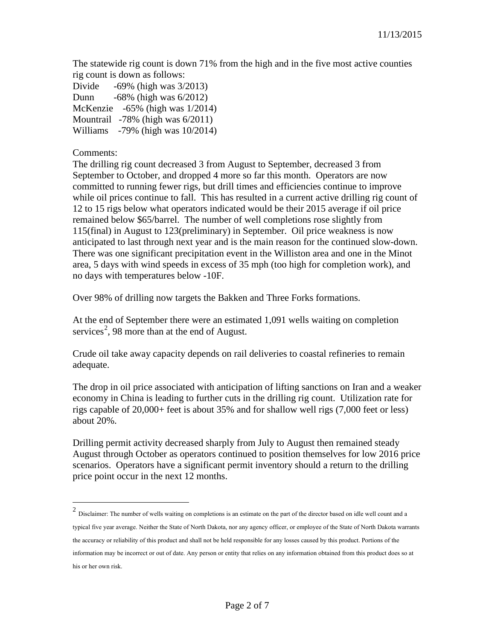The statewide rig count is down 71% from the high and in the five most active counties rig count is down as follows:

Divide -69% (high was 3/2013) Dunn -68% (high was 6/2012) McKenzie -65% (high was 1/2014) Mountrail -78% (high was 6/2011) Williams -79% (high was 10/2014)

Comments:

The drilling rig count decreased 3 from August to September, decreased 3 from September to October, and dropped 4 more so far this month. Operators are now committed to running fewer rigs, but drill times and efficiencies continue to improve while oil prices continue to fall. This has resulted in a current active drilling rig count of 12 to 15 rigs below what operators indicated would be their 2015 average if oil price remained below \$65/barrel. The number of well completions rose slightly from 115(final) in August to 123(preliminary) in September. Oil price weakness is now anticipated to last through next year and is the main reason for the continued slow-down. There was one significant precipitation event in the Williston area and one in the Minot area, 5 days with wind speeds in excess of 35 mph (too high for completion work), and no days with temperatures below -10F.

Over 98% of drilling now targets the Bakken and Three Forks formations.

At the end of September there were an estimated 1,091 wells waiting on completion services<sup>[2](#page-1-0)</sup>, 98 more than at the end of August.

Crude oil take away capacity depends on rail deliveries to coastal refineries to remain adequate.

The drop in oil price associated with anticipation of lifting sanctions on Iran and a weaker economy in China is leading to further cuts in the drilling rig count. Utilization rate for rigs capable of 20,000+ feet is about 35% and for shallow well rigs (7,000 feet or less) about 20%.

Drilling permit activity decreased sharply from July to August then remained steady August through October as operators continued to position themselves for low 2016 price scenarios. Operators have a significant permit inventory should a return to the drilling price point occur in the next 12 months.

<span id="page-1-0"></span> <sup>2</sup> Disclaimer: The number of wells waiting on completions is an estimate on the part of the director based on idle well count and a typical five year average. Neither the State of North Dakota, nor any agency officer, or employee of the State of North Dakota warrants the accuracy or reliability of this product and shall not be held responsible for any losses caused by this product. Portions of the information may be incorrect or out of date. Any person or entity that relies on any information obtained from this product does so at his or her own risk.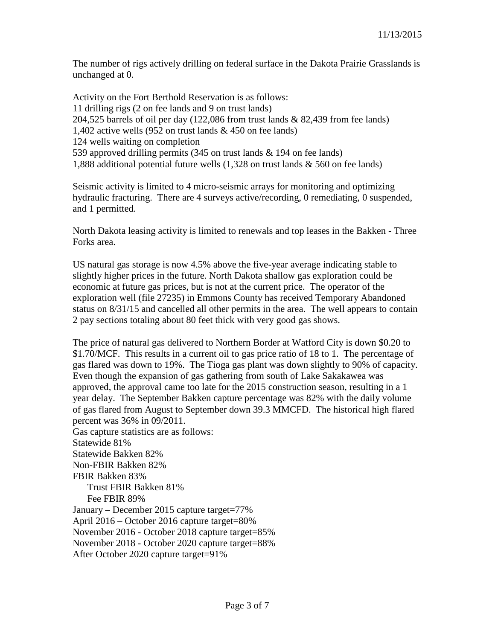The number of rigs actively drilling on federal surface in the Dakota Prairie Grasslands is unchanged at 0.

Activity on the Fort Berthold Reservation is as follows: 11 drilling rigs (2 on fee lands and 9 on trust lands) 204,525 barrels of oil per day (122,086 from trust lands & 82,439 from fee lands) 1,402 active wells (952 on trust lands & 450 on fee lands) 124 wells waiting on completion 539 approved drilling permits (345 on trust lands & 194 on fee lands) 1,888 additional potential future wells (1,328 on trust lands & 560 on fee lands)

Seismic activity is limited to 4 micro-seismic arrays for monitoring and optimizing hydraulic fracturing. There are 4 surveys active/recording, 0 remediating, 0 suspended, and 1 permitted.

North Dakota leasing activity is limited to renewals and top leases in the Bakken - Three Forks area.

US natural gas storage is now 4.5% above the five-year average indicating stable to slightly higher prices in the future. North Dakota shallow gas exploration could be economic at future gas prices, but is not at the current price. The operator of the exploration well (file 27235) in Emmons County has received Temporary Abandoned status on 8/31/15 and cancelled all other permits in the area. The well appears to contain 2 pay sections totaling about 80 feet thick with very good gas shows.

The price of natural gas delivered to Northern Border at Watford City is down \$0.20 to \$1.70/MCF. This results in a current oil to gas price ratio of 18 to 1. The percentage of gas flared was down to 19%. The Tioga gas plant was down slightly to 90% of capacity. Even though the expansion of gas gathering from south of Lake Sakakawea was approved, the approval came too late for the 2015 construction season, resulting in a 1 year delay. The September Bakken capture percentage was 82% with the daily volume of gas flared from August to September down 39.3 MMCFD. The historical high flared percent was 36% in 09/2011.

Gas capture statistics are as follows: Statewide 81% Statewide Bakken 82% Non-FBIR Bakken 82% FBIR Bakken 83% Trust FBIR Bakken 81% Fee FBIR 89% January – December 2015 capture target=77% April 2016 – October 2016 capture target=80% November 2016 - October 2018 capture target=85% November 2018 - October 2020 capture target=88% After October 2020 capture target=91%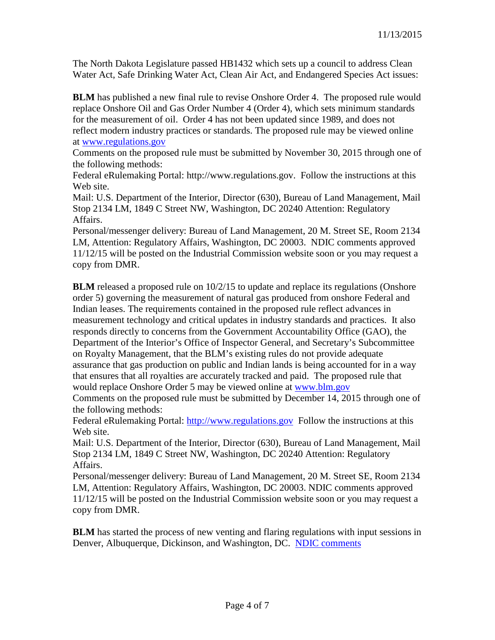The North Dakota Legislature passed HB1432 which sets up a council to address Clean Water Act, Safe Drinking Water Act, Clean Air Act, and Endangered Species Act issues:

**BLM** has published a new final rule to revise Onshore Order 4. The proposed rule would replace Onshore Oil and Gas Order Number 4 (Order 4), which sets minimum standards for the measurement of oil. Order 4 has not been updated since 1989, and does not reflect modern industry practices or standards. The proposed rule may be viewed online at [www.regulations.gov](http://www.regulations.gov/)

Comments on the proposed rule must be submitted by November 30, 2015 through one of the following methods:

Federal eRulemaking Portal: http://www.regulations.gov. Follow the instructions at this Web site.

Mail: U.S. Department of the Interior, Director (630), Bureau of Land Management, Mail Stop 2134 LM, 1849 C Street NW, Washington, DC 20240 Attention: Regulatory Affairs.

Personal/messenger delivery: Bureau of Land Management, 20 M. Street SE, Room 2134 LM, Attention: Regulatory Affairs, Washington, DC 20003. NDIC comments approved 11/12/15 will be posted on the Industrial Commission website soon or you may request a copy from DMR.

**BLM** released a proposed rule on  $10/2/15$  to update and replace its regulations (Onshore order 5) governing the measurement of natural gas produced from onshore Federal and Indian leases. The requirements contained in the proposed rule reflect advances in measurement technology and critical updates in industry standards and practices. It also responds directly to concerns from the Government Accountability Office (GAO), the Department of the Interior's Office of Inspector General, and Secretary's Subcommittee on Royalty Management, that the BLM's existing rules do not provide adequate assurance that gas production on public and Indian lands is being accounted for in a way that ensures that all royalties are accurately tracked and paid. The proposed rule that would replace Onshore Order 5 may be viewed online at [www.blm.gov](http://www.blm.gov/)

Comments on the proposed rule must be submitted by December 14, 2015 through one of the following methods:

Federal eRulemaking Portal: [http://www.regulations.gov](http://www.regulations.gov/) Follow the instructions at this Web site.

Mail: U.S. Department of the Interior, Director (630), Bureau of Land Management, Mail Stop 2134 LM, 1849 C Street NW, Washington, DC 20240 Attention: Regulatory Affairs.

Personal/messenger delivery: Bureau of Land Management, 20 M. Street SE, Room 2134 LM, Attention: Regulatory Affairs, Washington, DC 20003. NDIC comments approved 11/12/15 will be posted on the Industrial Commission website soon or you may request a copy from DMR.

**BLM** has started the process of new venting and flaring regulations with input sessions in Denver, Albuquerque, Dickinson, and Washington, DC. [NDIC comments](http://www.nd.gov/ndic/ic-press/BLM-comments-140509.pdf)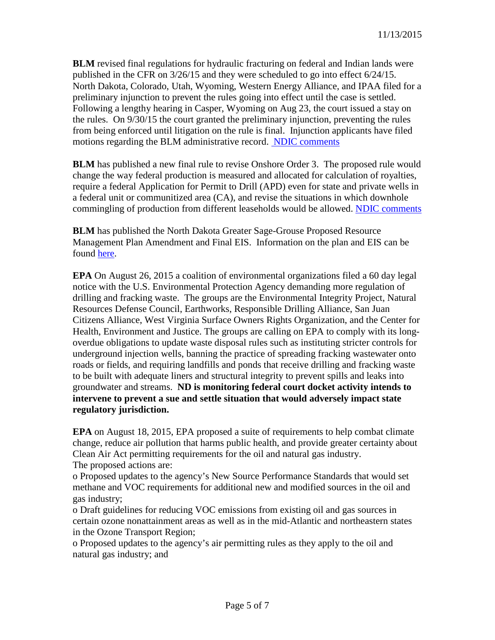**BLM** revised final regulations for hydraulic fracturing on federal and Indian lands were published in the CFR on 3/26/15 and they were scheduled to go into effect 6/24/15. North Dakota, Colorado, Utah, Wyoming, Western Energy Alliance, and IPAA filed for a preliminary injunction to prevent the rules going into effect until the case is settled. Following a lengthy hearing in Casper, Wyoming on Aug 23, the court issued a stay on the rules. On 9/30/15 the court granted the preliminary injunction, preventing the rules from being enforced until litigation on the rule is final. Injunction applicants have filed motions regarding the BLM administrative record. [NDIC comments](http://www.nd.gov/ndic/ic-press/BLM-comments-120625.pdf)

**BLM** has published a new final rule to revise Onshore Order 3. The proposed rule would change the way federal production is measured and allocated for calculation of royalties, require a federal Application for Permit to Drill (APD) even for state and private wells in a federal unit or communitized area (CA), and revise the situations in which downhole commingling of production from different leaseholds would be allowed. [NDIC comments](http://www.nd.gov/ndic/ic-press/BLM-Comments-OnshoreOrder3.pdf)

**BLM** has published the North Dakota Greater Sage-Grouse Proposed Resource Management Plan Amendment and Final EIS. Information on the plan and EIS can be found [here.](https://www.blm.gov/epl-front-office/eplanning/planAndProjectSite.do?methodName=dispatchToPatternPage¤tPageId=48797)

**EPA** On August 26, 2015 a coalition of environmental organizations filed a 60 day legal notice with the U.S. Environmental Protection Agency demanding more regulation of drilling and fracking waste. The groups are the Environmental Integrity Project, Natural Resources Defense Council, Earthworks, Responsible Drilling Alliance, San Juan Citizens Alliance, West Virginia Surface Owners Rights Organization, and the Center for Health, Environment and Justice. The groups are calling on EPA to comply with its longoverdue obligations to update waste disposal rules such as instituting stricter controls for underground injection wells, banning the practice of spreading fracking wastewater onto roads or fields, and requiring landfills and ponds that receive drilling and fracking waste to be built with adequate liners and structural integrity to prevent spills and leaks into groundwater and streams. **ND is monitoring federal court docket activity intends to intervene to prevent a sue and settle situation that would adversely impact state regulatory jurisdiction.**

**EPA** on August 18, 2015, EPA proposed a suite of requirements to help combat climate change, reduce air pollution that harms public health, and provide greater certainty about Clean Air Act permitting requirements for the oil and natural gas industry. The proposed actions are:

o Proposed updates to the agency's New Source Performance Standards that would set methane and VOC requirements for additional new and modified sources in the oil and gas industry;

o Draft guidelines for reducing VOC emissions from existing oil and gas sources in certain ozone nonattainment areas as well as in the mid-Atlantic and northeastern states in the Ozone Transport Region;

o Proposed updates to the agency's air permitting rules as they apply to the oil and natural gas industry; and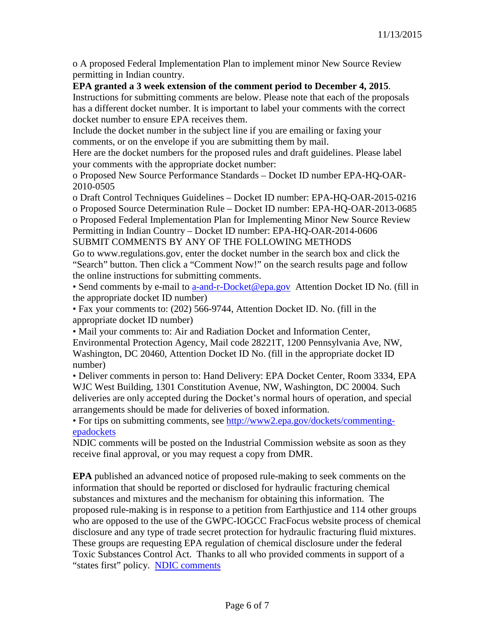o A proposed Federal Implementation Plan to implement minor New Source Review permitting in Indian country.

## **EPA granted a 3 week extension of the comment period to December 4, 2015**.

Instructions for submitting comments are below. Please note that each of the proposals has a different docket number. It is important to label your comments with the correct docket number to ensure EPA receives them.

Include the docket number in the subject line if you are emailing or faxing your comments, or on the envelope if you are submitting them by mail.

Here are the docket numbers for the proposed rules and draft guidelines. Please label your comments with the appropriate docket number:

o Proposed New Source Performance Standards – Docket ID number EPA-HQ-OAR-2010-0505

o Draft Control Techniques Guidelines – Docket ID number: EPA-HQ-OAR-2015-0216 o Proposed Source Determination Rule – Docket ID number: EPA-HQ-OAR-2013-0685

o Proposed Federal Implementation Plan for Implementing Minor New Source Review Permitting in Indian Country – Docket ID number: EPA-HQ-OAR-2014-0606 SUBMIT COMMENTS BY ANY OF THE FOLLOWING METHODS

Go to www.regulations.gov, enter the docket number in the search box and click the "Search" button. Then click a "Comment Now!" on the search results page and follow the online instructions for submitting comments.

• Send comments by e-mail to [a-and-r-Docket@epa.gov](mailto:a-and-r-Docket@epa.gov) Attention Docket ID No. (fill in the appropriate docket ID number)

• Fax your comments to: (202) 566-9744, Attention Docket ID. No. (fill in the appropriate docket ID number)

• Mail your comments to: Air and Radiation Docket and Information Center, Environmental Protection Agency, Mail code 28221T, 1200 Pennsylvania Ave, NW, Washington, DC 20460, Attention Docket ID No. (fill in the appropriate docket ID number)

• Deliver comments in person to: Hand Delivery: EPA Docket Center, Room 3334, EPA WJC West Building, 1301 Constitution Avenue, NW, Washington, DC 20004. Such deliveries are only accepted during the Docket's normal hours of operation, and special arrangements should be made for deliveries of boxed information.

• For tips on submitting comments, see [http://www2.epa.gov/dockets/commenting](http://www2.epa.gov/dockets/commenting-epadockets)[epadockets](http://www2.epa.gov/dockets/commenting-epadockets)

NDIC comments will be posted on the Industrial Commission website as soon as they receive final approval, or you may request a copy from DMR.

**EPA** published an advanced notice of proposed rule-making to seek comments on the information that should be reported or disclosed for hydraulic fracturing chemical substances and mixtures and the mechanism for obtaining this information. The proposed rule-making is in response to a petition from Earthjustice and 114 other groups who are opposed to the use of the GWPC-IOGCC FracFocus website process of chemical disclosure and any type of trade secret protection for hydraulic fracturing fluid mixtures. These groups are requesting EPA regulation of chemical disclosure under the federal Toxic Substances Control Act. Thanks to all who provided comments in support of a "states first" policy. [NDIC comments](http://www.nd.gov/ndic/ic-press/DMR-frac714.pdf)